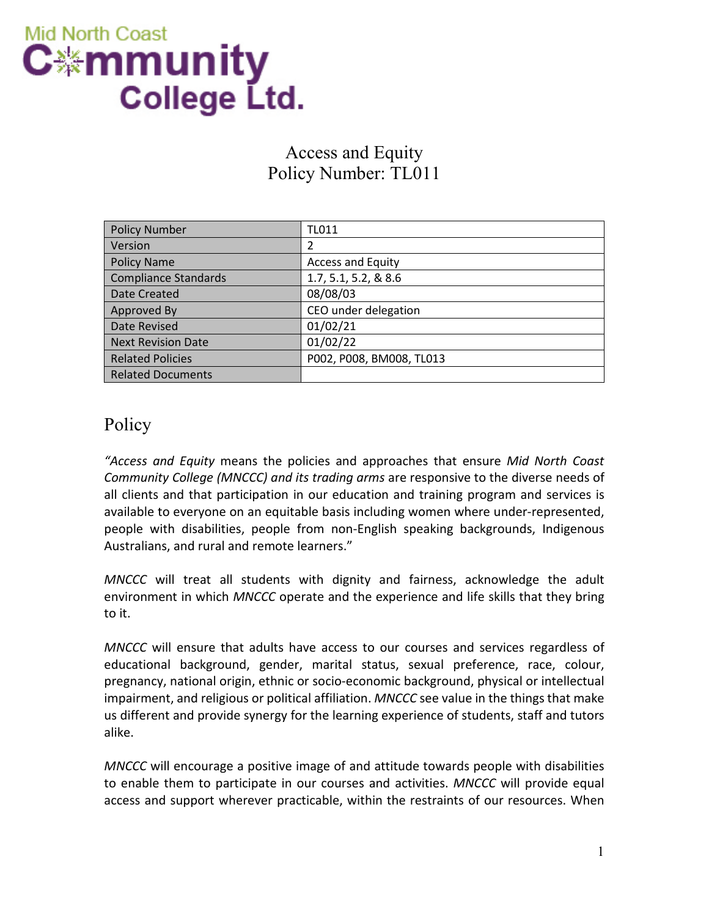

## Access and Equity Policy Number: TL011

| <b>Policy Number</b>        | <b>TL011</b>             |
|-----------------------------|--------------------------|
| Version                     | 2                        |
| <b>Policy Name</b>          | <b>Access and Equity</b> |
| <b>Compliance Standards</b> | 1.7, 5.1, 5.2, & 8.6     |
| Date Created                | 08/08/03                 |
| Approved By                 | CEO under delegation     |
| Date Revised                | 01/02/21                 |
| <b>Next Revision Date</b>   | 01/02/22                 |
| <b>Related Policies</b>     | P002, P008, BM008, TL013 |
| <b>Related Documents</b>    |                          |

## Policy

*"Access and Equity* means the policies and approaches that ensure *Mid North Coast Community College (MNCCC) and its trading arms* are responsive to the diverse needs of all clients and that participation in our education and training program and services is available to everyone on an equitable basis including women where under-represented, people with disabilities, people from non-English speaking backgrounds, Indigenous Australians, and rural and remote learners."

*MNCCC* will treat all students with dignity and fairness, acknowledge the adult environment in which *MNCCC* operate and the experience and life skills that they bring to it.

*MNCCC* will ensure that adults have access to our courses and services regardless of educational background, gender, marital status, sexual preference, race, colour, pregnancy, national origin, ethnic or socio-economic background, physical or intellectual impairment, and religious or political affiliation. *MNCCC* see value in the things that make us different and provide synergy for the learning experience of students, staff and tutors alike.

*MNCCC* will encourage a positive image of and attitude towards people with disabilities to enable them to participate in our courses and activities. *MNCCC* will provide equal access and support wherever practicable, within the restraints of our resources. When